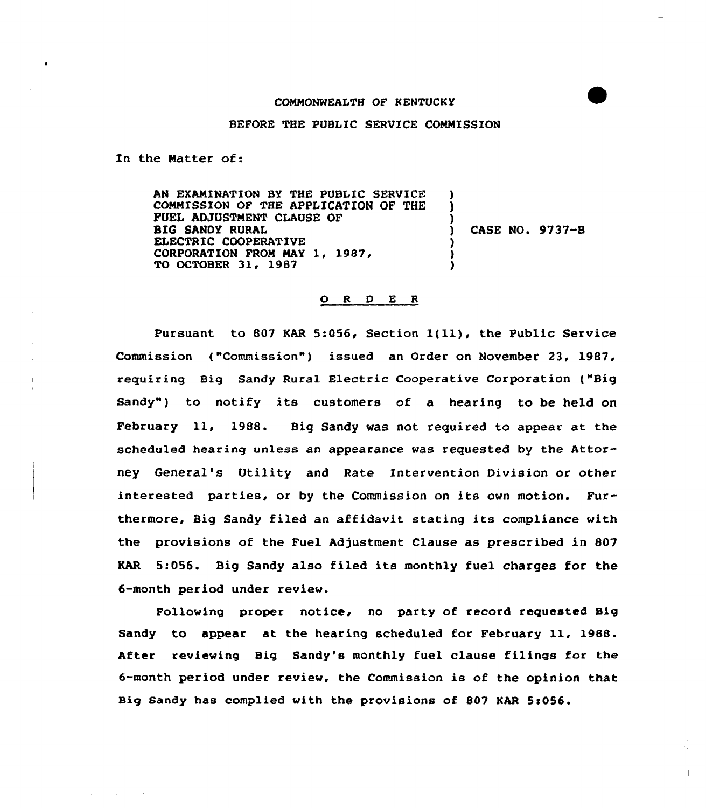## COMMONWEALTH OF KENTUCKY

## BEFORE THE PUBLIC SERVICE COMMISSION

In the Natter of:

AN EXANINATION BY THE PUBLIC SERVICE CONNISSION OF THE APPLICATION OF THE FUEL ADJUSTNENT CLAUSE OF BIG SANOY RURAL ELECTRIC COOPERATIVE CORPORATION PRON MAY 1, 1987, TO OCTOBER 31, 1987 ) ) ) ) CASE NO. 9737-B ) ) )

## O R D E R

Pursuant to <sup>807</sup> KAR 5:056, Section l(ll), the Public Service Commission ("Commission") issued an Order on November 23, 1987, requiring Big Sandy Rural Electric Cooperative Corporation ("Big Sandy") to notify its customers of a hearing to be held on February 11, 1988. Big Sandy was not required to appear at the scheduled hearing unless an appearance was requested by the Attorney General's Utility and Rate Intervention Division or other interested parties, or by the Commission on its own motion. Furthermore, Big Sandy filed an affidavit stating its compliance with the provisions of the Fuel Adjustment Clause as prescribed in 807 KAR 5:056. Big Sandy also filed its monthly fuel charges for the 6-month period under review.

Following proper notice, no party of record requested Big Sandy to appear at the hearing scheduled for February 11, 1988. After reviewing Big Sandy's monthly fuel clause filings for the 6-month period under review, the Commission is of the opinion that Big Sandy has complied with the provisions of 807 KAR 5:056.